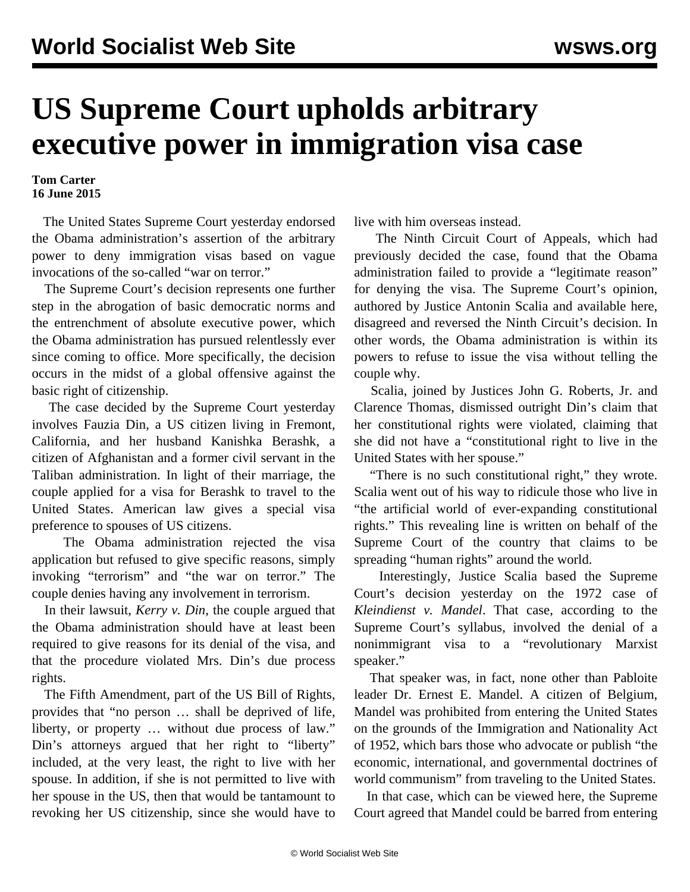## **US Supreme Court upholds arbitrary executive power in immigration visa case**

## **Tom Carter 16 June 2015**

 The United States Supreme Court yesterday endorsed the Obama administration's assertion of the arbitrary power to deny immigration visas based on vague invocations of the so-called "war on terror."

 The Supreme Court's decision represents one further step in the abrogation of basic democratic norms and the entrenchment of absolute executive power, which the Obama administration has pursued relentlessly ever since coming to office. More specifically, the decision occurs in the midst of a global [offensive](/en/articles/2015/06/13/citi-j13.html) against the basic right of citizenship.

 The case decided by the Supreme Court yesterday involves Fauzia Din, a US citizen living in Fremont, California, and her husband Kanishka Berashk, a citizen of Afghanistan and a former civil servant in the Taliban administration. In light of their marriage, the couple applied for a visa for Berashk to travel to the United States. American law gives a special visa preference to spouses of US citizens.

 The Obama administration rejected the visa application but refused to give specific reasons, simply invoking "terrorism" and "the war on terror." The couple denies having any involvement in terrorism.

 In their lawsuit, *Kerry v. Din*, the couple argued that the Obama administration should have at least been required to give reasons for its denial of the visa, and that the procedure violated Mrs. Din's due process rights.

 The Fifth Amendment, part of the US Bill of Rights, provides that "no person … shall be deprived of life, liberty, or property … without due process of law." Din's attorneys argued that her right to "liberty" included, at the very least, the right to live with her spouse. In addition, if she is not permitted to live with her spouse in the US, then that would be tantamount to revoking her US citizenship, since she would have to live with him overseas instead.

 The Ninth Circuit Court of Appeals, which had previously decided the case, found that the Obama administration failed to provide a "legitimate reason" for denying the visa. The Supreme Court's opinion, authored by Justice Antonin Scalia and available [here,](http://www.supremecourt.gov/opinions/14pdf/13-1402_e29g.pdf) disagreed and reversed the Ninth Circuit's decision. In other words, the Obama administration is within its powers to refuse to issue the visa without telling the couple why.

 Scalia, joined by Justices John G. Roberts, Jr. and Clarence Thomas, dismissed outright Din's claim that her constitutional rights were violated, claiming that she did not have a "constitutional right to live in the United States with her spouse."

 "There is no such constitutional right," they wrote. Scalia went out of his way to ridicule those who live in "the artificial world of ever-expanding constitutional rights." This revealing line is written on behalf of the Supreme Court of the country that claims to be spreading "human rights" around the world.

 Interestingly, Justice Scalia based the Supreme Court's decision yesterday on the 1972 case of *Kleindienst v. Mandel*. That case, according to the Supreme Court's syllabus, involved the denial of a nonimmigrant visa to a "revolutionary Marxist speaker."

 That speaker was, in fact, none other than Pabloite leader Dr. Ernest E. Mandel. A citizen of Belgium, Mandel was prohibited from entering the United States on the grounds of the Immigration and Nationality Act of 1952, which bars those who advocate or publish "the economic, international, and governmental doctrines of world communism" from traveling to the United States.

 In that case, which can be viewed [here,](http://caselaw.findlaw.com/us-supreme-court/408/753.html) the Supreme Court agreed that Mandel could be barred from entering